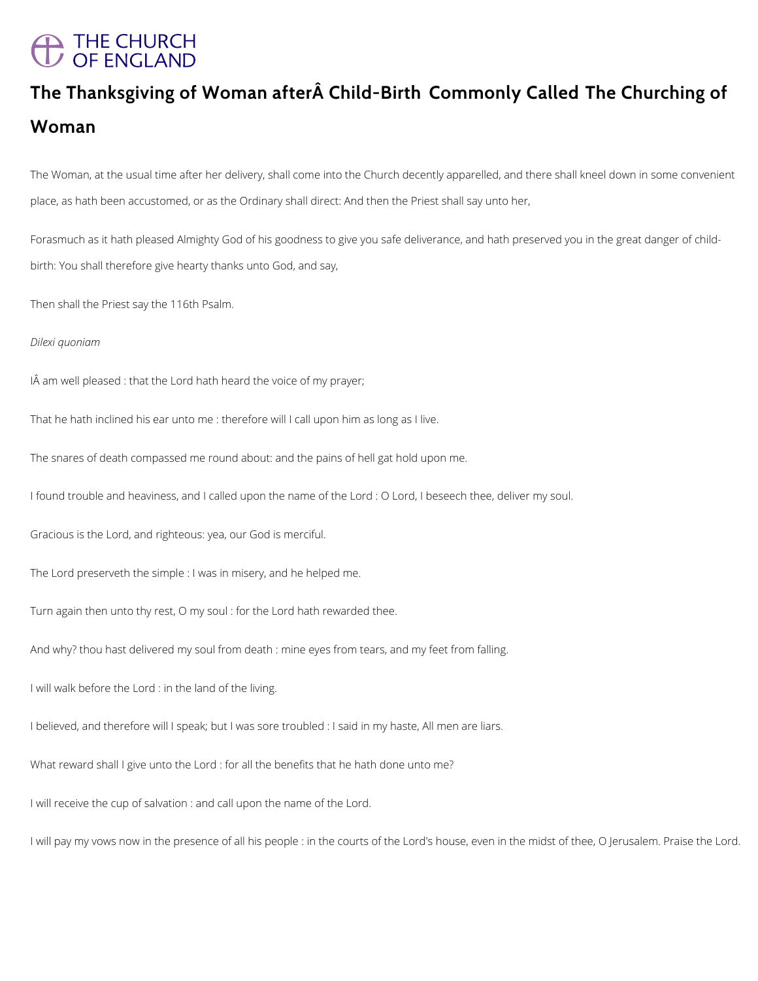# A THE CHURCH<br>/ OF ENGLAND

# **The Thanksgiving of Woman after Child-Birth Commonly Called The Churching of Woman**

The Woman, at the usual time after her delivery, shall come into the Church decently apparelled, and there shall kneel down in some convenient place, as hath been accustomed, or as the Ordinary shall direct: And then the Priest shall say unto her,

Forasmuch as it hath pleased Almighty God of his goodness to give you safe deliverance, and hath preserved you in the great danger of childbirth: You shall therefore give hearty thanks unto God, and say,

Then shall the Priest say the 116th Psalm.

*Dilexi quoniam*

IÂ am well pleased : that the Lord hath heard the voice of my prayer;

That he hath inclined his ear unto me : therefore will I call upon him as long as I live.

The snares of death compassed me round about: and the pains of hell gat hold upon me.

I found trouble and heaviness, and I called upon the name of the Lord : O Lord, I beseech thee, deliver my soul.

Gracious is the Lord, and righteous: yea, our God is merciful.

The Lord preserveth the simple : I was in misery, and he helped me.

Turn again then unto thy rest, O my soul : for the Lord hath rewarded thee.

And why? thou hast delivered my soul from death : mine eyes from tears, and my feet from falling.

I will walk before the Lord : in the land of the living.

I believed, and therefore will I speak; but I was sore troubled : I said in my haste, All men are liars.

What reward shall I give unto the Lord : for all the benefits that he hath done unto me?

I will receive the cup of salvation : and call upon the name of the Lord.

I will pay my vows now in the presence of all his people : in the courts of the Lord's house, even in the midst of thee, O Jerusalem. Praise the Lord.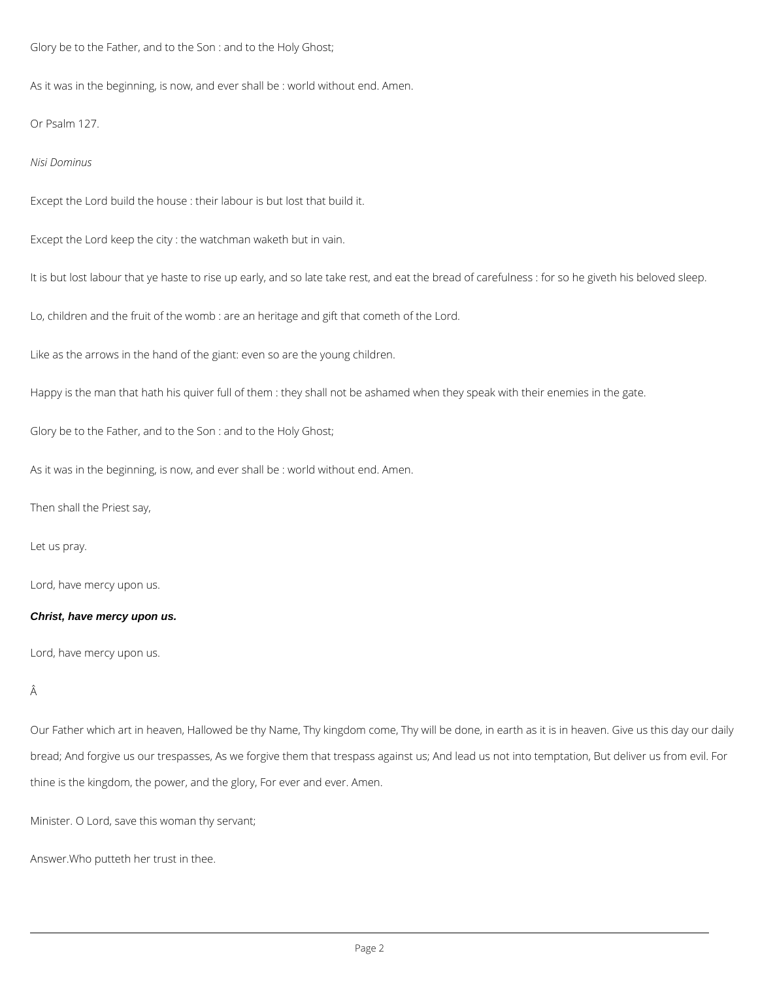Glory be to the Father, and to the Son : and to the Holy Ghost;

As it was in the beginning, is now, and ever shall be : world without end. Amen.

Or Psalm 127.

*Nisi Dominus*

Except the Lord build the house : their labour is but lost that build it.

Except the Lord keep the city : the watchman waketh but in vain.

It is but lost labour that ye haste to rise up early, and so late take rest, and eat the bread of carefulness : for so he giveth his beloved sleep.

Lo, children and the fruit of the womb : are an heritage and gift that cometh of the Lord.

Like as the arrows in the hand of the giant: even so are the young children.

Happy is the man that hath his quiver full of them : they shall not be ashamed when they speak with their enemies in the gate.

Glory be to the Father, and to the Son : and to the Holy Ghost;

As it was in the beginning, is now, and ever shall be : world without end. Amen.

Then shall the Priest say,

Let us pray.

Lord, have mercy upon us.

### **Christ, have mercy upon us.**

Lord, have mercy upon us.

## Â

Our Father which art in heaven, Hallowed be thy Name, Thy kingdom come, Thy will be done, in earth as it is in heaven. Give us this day our daily

bread; And forgive us our trespasses, As we forgive them that trespass against us; And lead us not into temptation, But deliver us from evil. For

thine is the kingdom, the power, and the glory, For ever and ever. Amen.

Minister. O Lord, save this woman thy servant;

Answer.Who putteth her trust in thee.